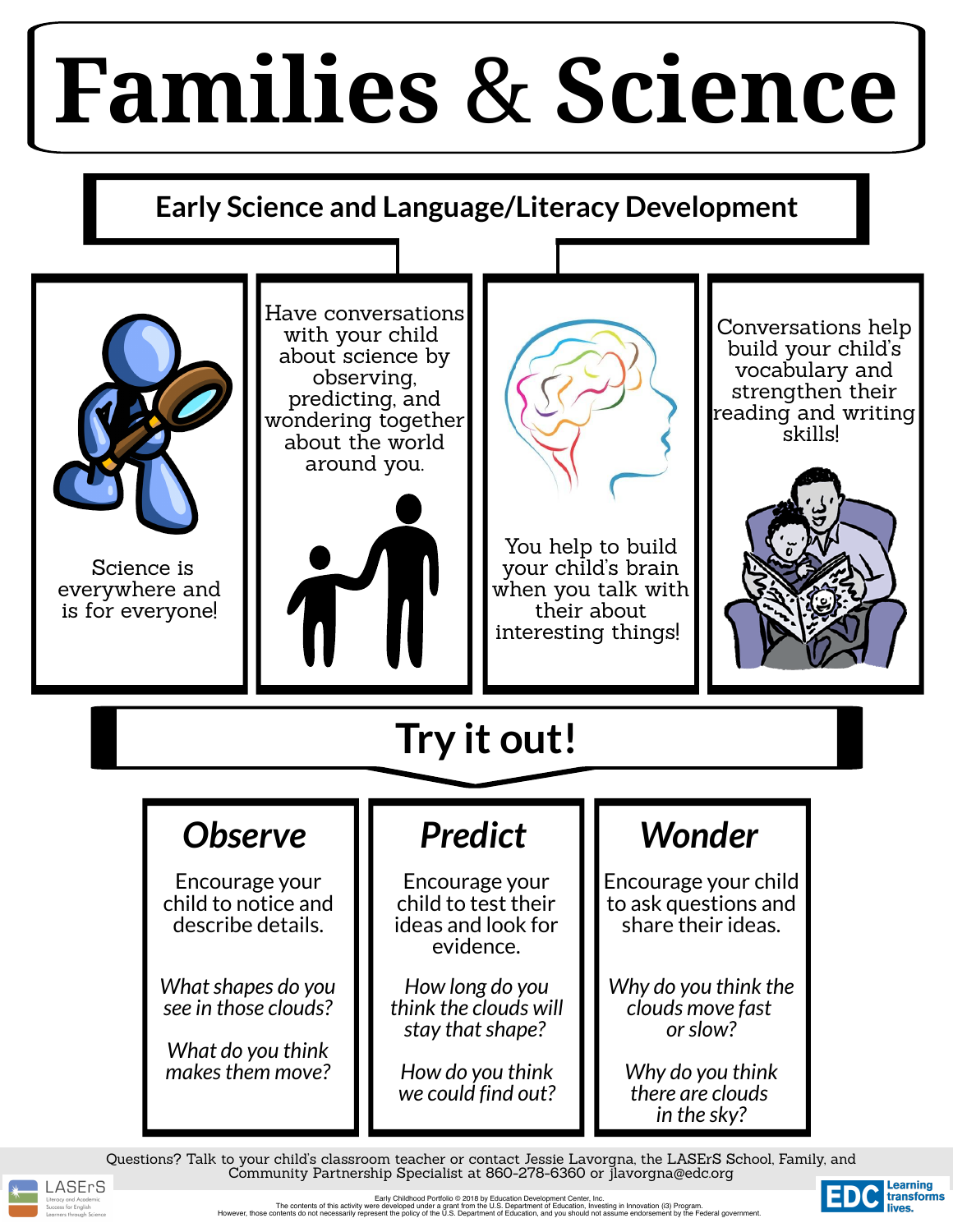Science is everywhere and is for everyone!



Have conversations with your child about science by observing, predicting, and wondering together about the world around you.



You help to build your child' s brain when you talk with their about interesting things!

Conversations help build your child' s vocabulary and strengthen their reading and writing skills!

![](_page_0_Picture_6.jpeg)

Questions? Talk to your child's classroom teacher or contact Jessie Lavorgna, the LASErS School, Family, and Community Partnership Specialist at 860-278-6360 or jlavorgna@edc.org

![](_page_0_Picture_16.jpeg)

*in the sky?*

**Early Science and Language/Literacy Development**

![](_page_0_Picture_2.jpeg)

## **Families** & **Science**

![](_page_0_Figure_10.jpeg)

Early Childhood Portfolio © 2018 by Education Development Center, Inc. The contents of this activity were developed under a grant from the U.S. Department of Education, Investing in Innovation (i3) Program. However, those contents do not necessarily represent the policy of the U.S. Department of Education, and you should not assume endorsement by the Federal government.

![](_page_0_Picture_18.jpeg)